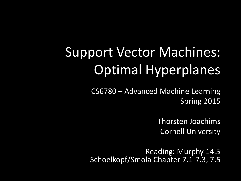# Support Vector Machines: Optimal Hyperplanes

CS6780 – Advanced Machine Learning Spring 2015

> Thorsten Joachims Cornell University

Reading: Murphy 14.5 Schoelkopf/Smola Chapter 7.1-7.3, 7.5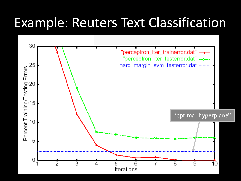#### Example: Reuters Text Classification

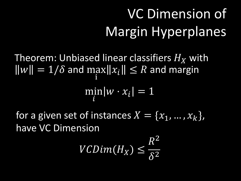# VC Dimension of Margin Hyperplanes

Theorem: Unbiased linear classifiers  $H_{\rm\bf x}$  with  $\|w\| = 1/\delta$  and max i  $x_i$ ||  $\leq R$  and margin min  $\boldsymbol{i}$  $w \cdot x_i$ | = 1

for a given set of instances  $X = \{x_1, ..., x_k\},\$ have VC Dimension

$$
VCDim(H_X) \leq \frac{R^2}{\delta^2}
$$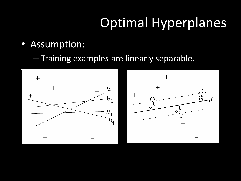# Optimal Hyperplanes

- Assumption:
	- Training examples are linearly separable.

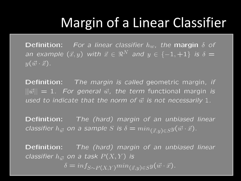#### Margin of a Linear Classifier

**Definition:** For a linear classifier  $h_w$ , the margin  $\delta$  of an example  $(\vec{x}, y)$  with  $\vec{x} \in \Re^{N}$  and  $y \in \{-1, +1\}$  is  $\delta =$  $y(\vec{w} \cdot \vec{x})$ .

**Definition:** The margin is called geometric margin, if  $||\vec{w}|| = 1$ . For general  $\vec{w}$ , the term functional margin is used to indicate that the norm of  $\vec{w}$  is not necessarily 1.

**Definition:** The (hard) margin of an unbiased linear classifier  $h_{\vec{w}}$  on a sample S is  $\delta = min_{(\vec{x},y) \in S} y(\vec{w} \cdot \vec{x}).$ 

**Definition:** The (hard) margin of an unbiased linear classifier  $h_{\vec{w}}$  on a task  $P(X, Y)$  is

 $\delta = inf_{S \sim P(X,Y)} min_{(\vec{x},y) \in S} y(\vec{w} \cdot \vec{x}).$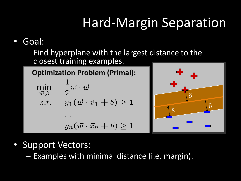# Hard-Margin Separation

#### • Goal:

– Find hyperplane with the largest distance to the closest training examples.

**Optimization Problem (Primal):**

$$
\min_{\vec{w},b} \quad \frac{1}{2}\vec{w} \cdot \vec{w}
$$
\n
$$
s.t. \quad y_1(\vec{w} \cdot \vec{x}_1 + b) \ge 1
$$

$$
y_n(\vec{w}\cdot\vec{x}_n+b)\geq 1
$$



- Support Vectors:
	- Examples with minimal distance (i.e. margin).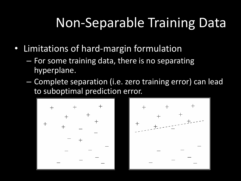### Non-Separable Training Data

- Limitations of hard-margin formulation
	- For some training data, there is no separating hyperplane.
	- Complete separation (i.e. zero training error) can lead to suboptimal prediction error.

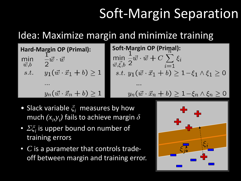# Soft-Margin Separation

#### Idea: Maximize margin and minimize training

**Hard-Margin OP (Primal):**  $-\frac{1}{2}\vec{w}\cdot\vec{w}$ min  $\vec{w}$ , $b$ *s.t.*  $y_1(\vec{w} \cdot \vec{x}_1 + b) \ge 1$  $y_n(\vec{w} \cdot \vec{x}_n + b) \geq 1$ 

**Soft-Margin OP (Primal):**

\n
$$
\min_{\vec{w}, \vec{\xi}, b} \frac{1}{2} \vec{w} \cdot \vec{w} + C \sum_{i=1}^{n} \xi_i
$$

\n
$$
s.t. y_1(\vec{w} \cdot \vec{x}_1 + b) \ge 1 - \xi_1 \wedge \xi_1 \ge 0
$$

\n
$$
\dots
$$

\n
$$
y_n(\vec{w} \cdot \vec{x}_n + b) > 1 - \xi_n \wedge \xi_n > 0
$$

- Slack variable  $\xi$ <sup>*i*</sup> measures by how much  $(x_i, y_i)$  fails to achieve margin  $\delta$
- $\Sigma \xi_i$  is upper bound on number of training errors
- *C* is a parameter that controls tradeoff between margin and training error.

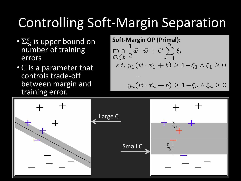# Controlling Soft-Margin Separation

- Σξ<sub>i</sub> is upper bound on number of training errors
- C is a parameter that controls trade-off between margin and training error.

**Soft-Margin OP (Primal):**

\n
$$
\min_{\vec{w}, \vec{\xi}, b} \frac{1}{2} \vec{w} \cdot \vec{w} + C \sum_{i=1}^{n} \xi_i
$$

\n
$$
s.t. y_1(\vec{w} \cdot \vec{x}_1 + b) \ge 1 - \xi_1 \wedge \xi_1 \ge 0
$$

\n
$$
\dots
$$

\n
$$
y_n(\vec{w} \cdot \vec{x}_n + b) \ge 1 - \xi_n \wedge \xi_n \ge 0
$$

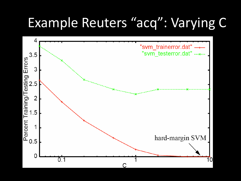#### Example Reuters "acq": Varying C